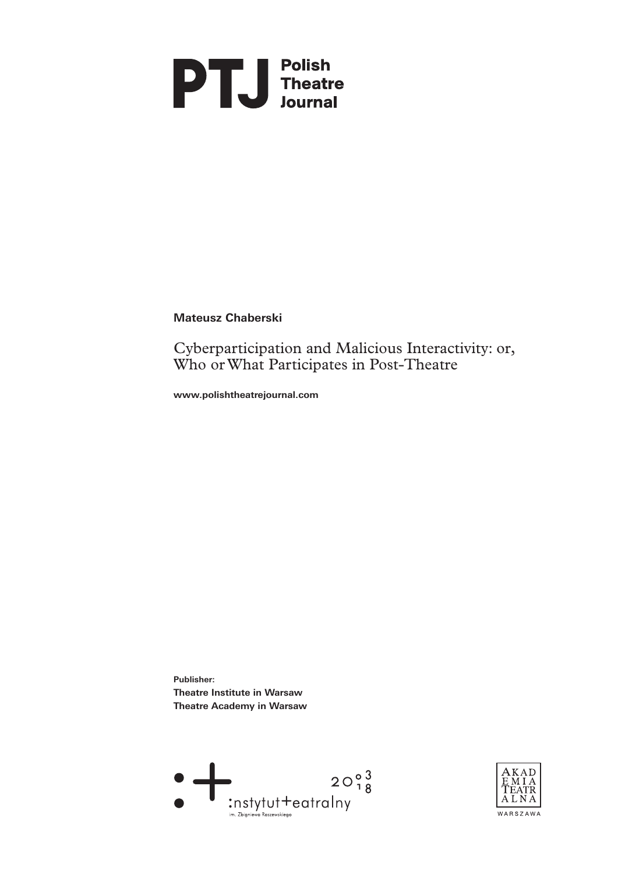

**Mateusz Chaberski**

Cyberparticipation and Malicious Interactivity: or, Who or What Participates in Post‑Theatre

**www.polishtheatrejournal.com**

**Publisher: Theatre Institute in Warsaw Theatre Academy in Warsaw** 



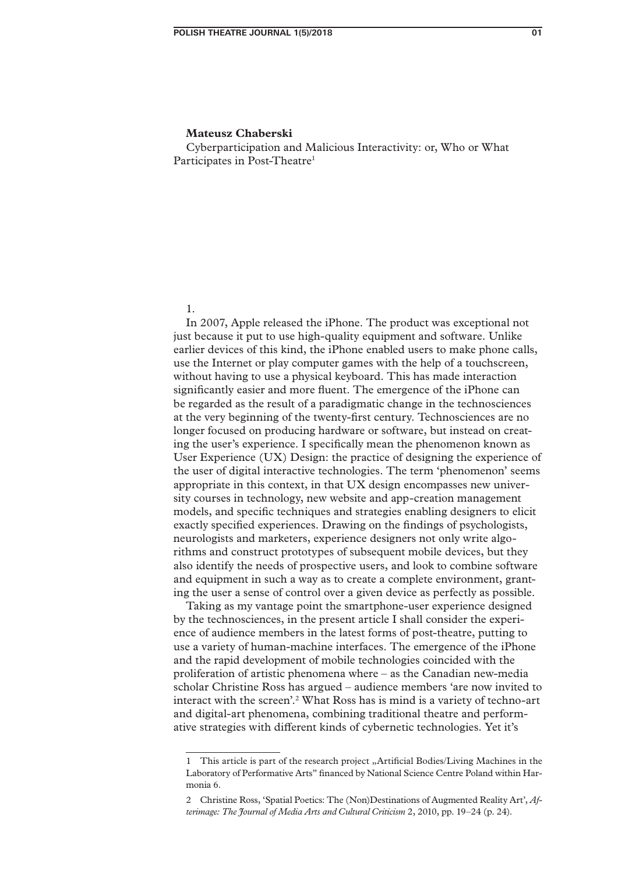Cyberparticipation and Malicious Interactivity: or, Who or What Participates in Post-Theatre<sup>1</sup>

1.

In 2007, Apple released the iPhone. The product was exceptional not just because it put to use high-quality equipment and software. Unlike earlier devices of this kind, the iPhone enabled users to make phone calls, use the Internet or play computer games with the help of a touchscreen, without having to use a physical keyboard. This has made interaction significantly easier and more fluent. The emergence of the iPhone can be regarded as the result of a paradigmatic change in the technosciences at the very beginning of the twenty‑first century. Technosciences are no longer focused on producing hardware or software, but instead on creating the user's experience. I specifically mean the phenomenon known as User Experience (UX) Design: the practice of designing the experience of the user of digital interactive technologies. The term 'phenomenon' seems appropriate in this context, in that UX design encompasses new university courses in technology, new website and app‑creation management models, and specific techniques and strategies enabling designers to elicit exactly specified experiences. Drawing on the findings of psychologists, neurologists and marketers, experience designers not only write algorithms and construct prototypes of subsequent mobile devices, but they also identify the needs of prospective users, and look to combine software and equipment in such a way as to create a complete environment, grant– ing the user a sense of control over a given device as perfectly as possible.

Taking as my vantage point the smartphone‑user experience designed by the technosciences, in the present article I shall consider the experience of audience members in the latest forms of post-theatre, putting to use a variety of human-machine interfaces. The emergence of the iPhone and the rapid development of mobile technologies coincided with the proliferation of artistic phenomena where – as the Canadian new‑media scholar Christine Ross has argued – audience members 'are now invited to interact with the screen'.<sup>2</sup> What Ross has is mind is a variety of techno-art and digital-art phenomena, combining traditional theatre and performative strategies with different kinds of cybernetic technologies. Yet it's

<sup>1</sup> This article is part of the research project "Artificial Bodies/Living Machines in the Laboratory of Performative Arts" financed by National Science Centre Poland within Harmonia 6.

<sup>2</sup> Christine Ross, 'Spatial Poetics: The (Non)Destinations of Augmented Reality Art', *Af‑ terimage: The Journal of Media Arts and Cultural Criticism* 2, 2010, pp. 19–24 (p. 24).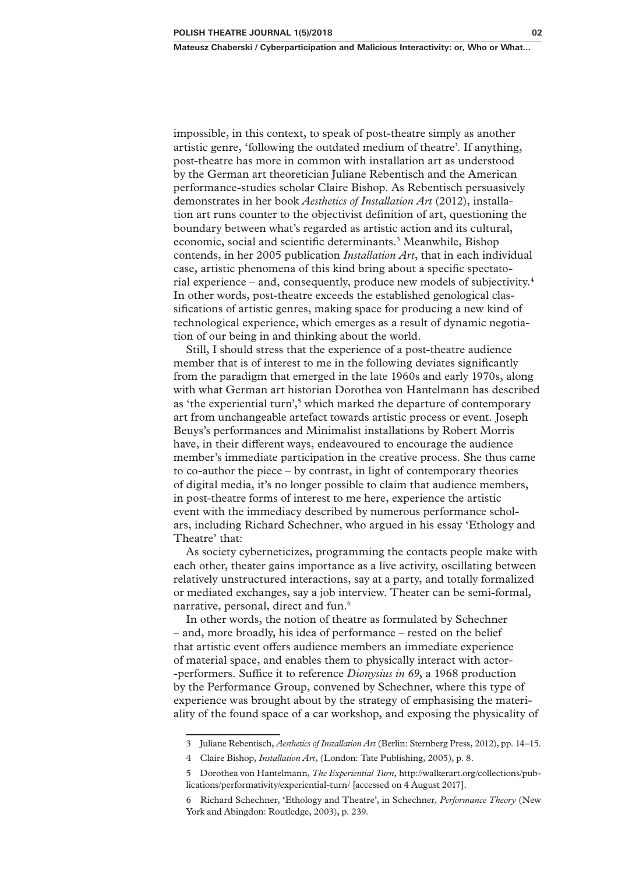impossible, in this context, to speak of post-theatre simply as another artistic genre, 'following the outdated medium of theatre'. If anything, post-theatre has more in common with installation art as understood by the German art theoretician Juliane Rebentisch and the American performance‑studies scholar Claire Bishop. As Rebentisch persuasively demonstrates in her book *Aesthetics of Installation Art* (2012), installation art runs counter to the objectivist definition of art, questioning the boundary between what's regarded as artistic action and its cultural, economic, social and scientific determinants.<sup>3</sup> Meanwhile, Bishop contends, in her 2005 publication *Installation Art*, that in each individual case, artistic phenomena of this kind bring about a specific spectatorial experience – and, consequently, produce new models of subjectivity.4 In other words, post-theatre exceeds the established genological classifications of artistic genres, making space for producing a new kind of technological experience, which emerges as a result of dynamic negotiation of our being in and thinking about the world.

Still, I should stress that the experience of a post-theatre audience member that is of interest to me in the following deviates significantly from the paradigm that emerged in the late 1960s and early 1970s, along with what German art historian Dorothea von Hantelmann has described as 'the experiential turn',<sup>5</sup> which marked the departure of contemporary art from unchangeable artefact towards artistic process or event. Joseph Beuys's performances and Minimalist installations by Robert Morris have, in their different ways, endeavoured to encourage the audience member's immediate participation in the creative process. She thus came to co‑author the piece – by contrast, in light of contemporary theories of digital media, it's no longer possible to claim that audience members, in post-theatre forms of interest to me here, experience the artistic event with the immediacy described by numerous performance schol– ars, including Richard Schechner, who argued in his essay 'Ethology and Theatre' that:

As society cyberneticizes, programming the contacts people make with each other, theater gains importance as a live activity, oscillating between relatively unstructured interactions, say at a party, and totally formalized or mediated exchanges, say a job interview. Theater can be semi‑formal, narrative, personal, direct and fun.<sup>6</sup>

In other words, the notion of theatre as formulated by Schechner – and, more broadly, his idea of performance – rested on the belief that artistic event offers audience members an immediate experience of material space, and enables them to physically interact with actor-‑performers. Suffice it to reference *Dionysius in 69*, a 1968 production by the Performance Group, convened by Schechner, where this type of experience was brought about by the strategy of emphasising the materiality of the found space of a car workshop, and exposing the physicality of

<sup>3</sup> Juliane Rebentisch, *Aesthetics of Installation Art* (Berlin: Sternberg Press, 2012), pp. 14–15.

<sup>4</sup> Claire Bishop, *Installation Art*, (London: Tate Publishing, 2005), p. 8.

<sup>5</sup> Dorothea von Hantelmann, *The Experiential Turn,* http://walkerart.org/collections/pub‑ lications/performativity/experiential-turn/ [accessed on 4 August 2017].

<sup>6</sup> Richard Schechner, 'Ethology and Theatre', in Schechner, *Performance Theory* (New York and Abingdon: Routledge, 2003), p. 239.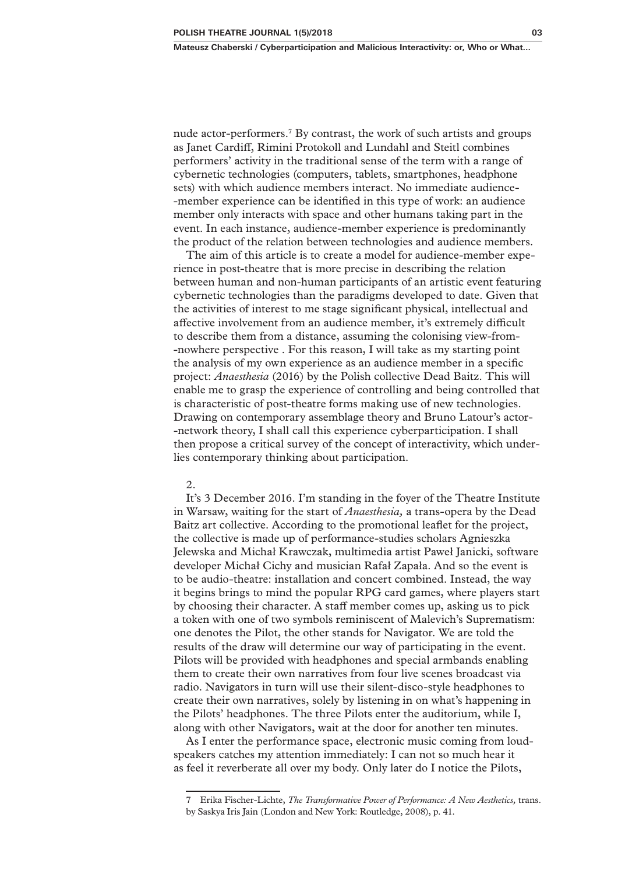nude actor-performers.<sup>7</sup> By contrast, the work of such artists and groups as Janet Cardiff, Rimini Protokoll and Lundahl and Steitl combines performers' activity in the traditional sense of the term with a range of cybernetic technologies (computers, tablets, smartphones, headphone sets) with which audience members interact. No immediate audience-‑member experience can be identified in this type of work: an audience member only interacts with space and other humans taking part in the event. In each instance, audience-member experience is predominantly the product of the relation between technologies and audience members.

The aim of this article is to create a model for audience-member experience in post-theatre that is more precise in describing the relation between human and non-human participants of an artistic event featuring cybernetic technologies than the paradigms developed to date. Given that the activities of interest to me stage significant physical, intellectual and affective involvement from an audience member, it's extremely difficult to describe them from a distance, assuming the colonising view-from-‑nowhere perspective . For this reason, I will take as my starting point the analysis of my own experience as an audience member in a specific project: *Anaesthesia* (2016) by the Polish collective Dead Baitz. This will enable me to grasp the experience of controlling and being controlled that is characteristic of post-theatre forms making use of new technologies. Drawing on contemporary assemblage theory and Bruno Latour's actor-‑network theory, I shall call this experience cyberparticipation. I shall then propose a critical survey of the concept of interactivity, which under‑ lies contemporary thinking about participation.

#### 2.

It's 3 December 2016. I'm standing in the foyer of the Theatre Institute in Warsaw, waiting for the start of *Anaesthesia,* a trans‑opera by the Dead Baitz art collective. According to the promotional leaflet for the project, the collective is made up of performance‑studies scholars Agnieszka Jelewska and Michał Krawczak, multimedia artist Paweł Janicki, software developer Michał Cichy and musician Rafał Zapała. And so the event is to be audio‑theatre: installation and concert combined. Instead, the way it begins brings to mind the popular RPG card games, where players start by choosing their character. A staff member comes up, asking us to pick a token with one of two symbols reminiscent of Malevich's Suprematism: one denotes the Pilot, the other stands for Navigator. We are told the results of the draw will determine our way of participating in the event. Pilots will be provided with headphones and special armbands enabling them to create their own narratives from four live scenes broadcast via radio. Navigators in turn will use their silent‑disco‑style headphones to create their own narratives, solely by listening in on what's happening in the Pilots' headphones. The three Pilots enter the auditorium, while I, along with other Navigators, wait at the door for another ten minutes.

As I enter the performance space, electronic music coming from loud– speakers catches my attention immediately: I can not so much hear it as feel it reverberate all over my body. Only later do I notice the Pilots,

<sup>7</sup> Erika Fischer‑Lichte, *The Transformative Power of Performance: A New Aesthetics,* trans. by Saskya Iris Jain (London and New York: Routledge, 2008), p. 41.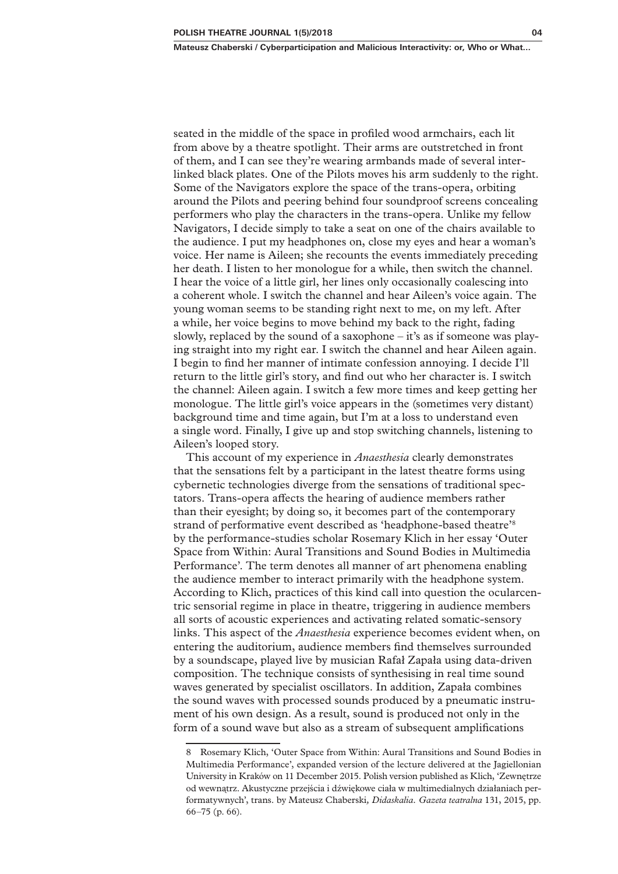seated in the middle of the space in profiled wood armchairs, each lit from above by a theatre spotlight. Their arms are outstretched in front of them, and I can see they're wearing armbands made of several interlinked black plates. One of the Pilots moves his arm suddenly to the right. Some of the Navigators explore the space of the trans‑opera, orbiting around the Pilots and peering behind four soundproof screens concealing performers who play the characters in the trans‑opera. Unlike my fellow Navigators, I decide simply to take a seat on one of the chairs available to the audience. I put my headphones on, close my eyes and hear a woman's voice. Her name is Aileen; she recounts the events immediately preceding her death. I listen to her monologue for a while, then switch the channel. I hear the voice of a little girl, her lines only occasionally coalescing into a coherent whole. I switch the channel and hear Aileen's voice again. The young woman seems to be standing right next to me, on my left. After a while, her voice begins to move behind my back to the right, fading slowly, replaced by the sound of a saxophone  $-$  it's as if someone was play– ing straight into my right ear. I switch the channel and hear Aileen again. I begin to find her manner of intimate confession annoying. I decide I'll return to the little girl's story, and find out who her character is. I switch the channel: Aileen again. I switch a few more times and keep getting her monologue. The little girl's voice appears in the (sometimes very distant) background time and time again, but I'm at a loss to understand even a single word. Finally, I give up and stop switching channels, listening to Aileen's looped story.

This account of my experience in *Anaesthesia* clearly demonstrates that the sensations felt by a participant in the latest theatre forms using cybernetic technologies diverge from the sensations of traditional spectators. Trans‑opera affects the hearing of audience members rather than their eyesight; by doing so, it becomes part of the contemporary strand of performative event described as 'headphone-based theatre'<sup>8</sup> by the performance‑studies scholar Rosemary Klich in her essay 'Outer Space from Within: Aural Transitions and Sound Bodies in Multimedia Performance'. The term denotes all manner of art phenomena enabling the audience member to interact primarily with the headphone system. According to Klich, practices of this kind call into question the ocularcentric sensorial regime in place in theatre, triggering in audience members all sorts of acoustic experiences and activating related somatic‑sensory links. This aspect of the *Anaesthesia* experience becomes evident when, on entering the auditorium, audience members find themselves surrounded by a soundscape, played live by musician Rafał Zapała using data‑driven composition. The technique consists of synthesising in real time sound waves generated by specialist oscillators. In addition, Zapała combines the sound waves with processed sounds produced by a pneumatic instrument of his own design. As a result, sound is produced not only in the form of a sound wave but also as a stream of subsequent amplifications

<sup>8</sup> Rosemary Klich, 'Outer Space from Within: Aural Transitions and Sound Bodies in Multimedia Performance', expanded version of the lecture delivered at the Jagiellonian University in Kraków on 11 December 2015. Polish version published as Klich, 'Zewnętrze od wewnątrz. Akustyczne przejścia i dźwiękowe ciała w multimedialnych działaniach per‑ formatywnych', trans. by Mateusz Chaberski*, Didaskalia. Gazeta teatralna* 131, 2015, pp. 66–75 (p. 66).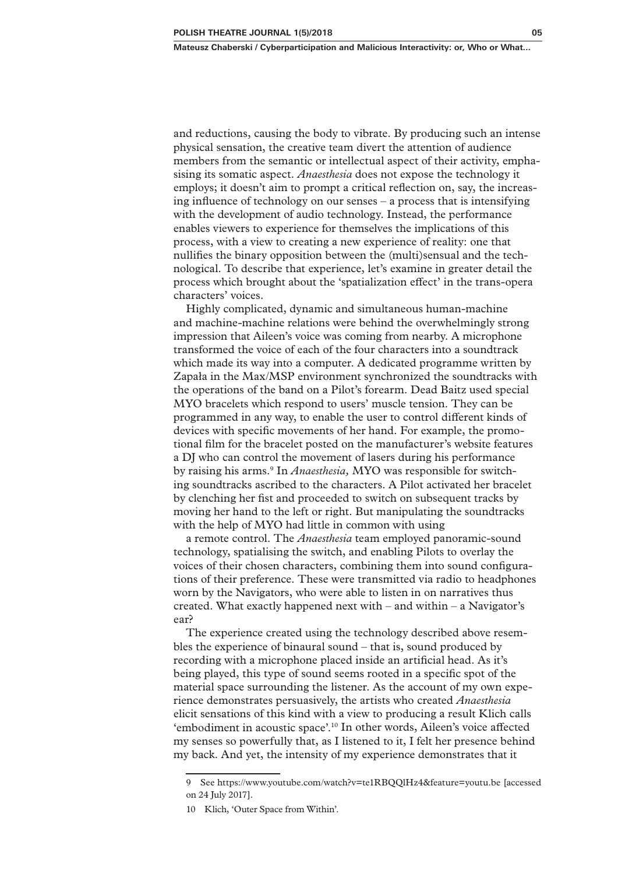and reductions, causing the body to vibrate. By producing such an intense physical sensation, the creative team divert the attention of audience members from the semantic or intellectual aspect of their activity, emphasising its somatic aspect. *Anaesthesia* does not expose the technology it employs; it doesn't aim to prompt a critical reflection on, say, the increas– ing influence of technology on our senses – a process that is intensifying with the development of audio technology. Instead, the performance enables viewers to experience for themselves the implications of this process, with a view to creating a new experience of reality: one that nullifies the binary opposition between the (multi)sensual and the technological. To describe that experience, let's examine in greater detail the process which brought about the 'spatialization effect' in the trans‑opera characters' voices.

Highly complicated, dynamic and simultaneous human‑machine and machine‑machine relations were behind the overwhelmingly strong impression that Aileen's voice was coming from nearby. A microphone transformed the voice of each of the four characters into a soundtrack which made its way into a computer. A dedicated programme written by Zapała in the Max/MSP environment synchronized the soundtracks with the operations of the band on a Pilot's forearm. Dead Baitz used special MYO bracelets which respond to users' muscle tension. They can be programmed in any way, to enable the user to control different kinds of devices with specific movements of her hand. For example, the promotional film for the bracelet posted on the manufacturer's website features a DJ who can control the movement of lasers during his performance by raising his arms.<sup>9</sup> In *Anaesthesia*, MYO was responsible for switching soundtracks ascribed to the characters. A Pilot activated her bracelet by clenching her fist and proceeded to switch on subsequent tracks by moving her hand to the left or right. But manipulating the soundtracks with the help of MYO had little in common with using

a remote control. The *Anaesthesia* team employed panoramic‑sound technology, spatialising the switch, and enabling Pilots to overlay the voices of their chosen characters, combining them into sound configurations of their preference. These were transmitted via radio to headphones worn by the Navigators, who were able to listen in on narratives thus created. What exactly happened next with  $-$  and within  $-$  a Navigator's ear?

The experience created using the technology described above resembles the experience of binaural sound – that is, sound produced by recording with a microphone placed inside an artificial head. As it's being played, this type of sound seems rooted in a specific spot of the material space surrounding the listener. As the account of my own experience demonstrates persuasively, the artists who created *Anaesthesia*  elicit sensations of this kind with a view to producing a result Klich calls 'embodiment in acoustic space'.10 In other words, Aileen's voice affected my senses so powerfully that, as I listened to it, I felt her presence behind my back. And yet, the intensity of my experience demonstrates that it

<sup>9</sup> See https://www.youtube.com/watch?v=te1RBQQlHz4&feature=youtu.be [accessed on 24 July 2017].

<sup>10</sup> Klich, 'Outer Space from Within'.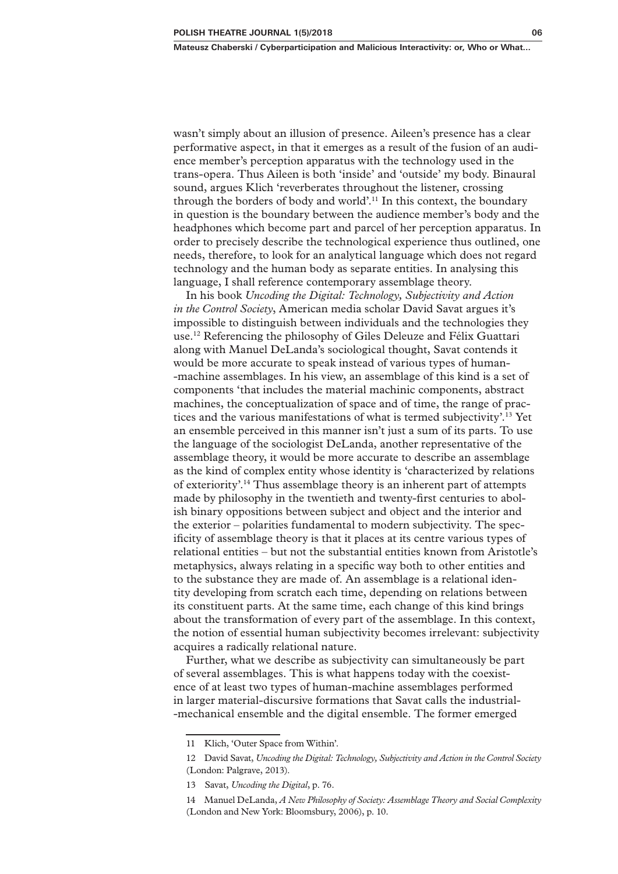wasn't simply about an illusion of presence. Aileen's presence has a clear performative aspect, in that it emerges as a result of the fusion of an audience member's perception apparatus with the technology used in the trans‑opera. Thus Aileen is both 'inside' and 'outside' my body. Binaural sound, argues Klich 'reverberates throughout the listener, crossing through the borders of body and world'.11 In this context, the boundary in question is the boundary between the audience member's body and the headphones which become part and parcel of her perception apparatus. In order to precisely describe the technological experience thus outlined, one needs, therefore, to look for an analytical language which does not regard technology and the human body as separate entities. In analysing this language, I shall reference contemporary assemblage theory.

In his book *Uncoding the Digital: Technology, Subjectivity and Action in the Control Society*, American media scholar David Savat argues it's impossible to distinguish between individuals and the technologies they use.12 Referencing the philosophy of Giles Deleuze and Félix Guattari along with Manuel DeLanda's sociological thought, Savat contends it would be more accurate to speak instead of various types of human– ‑machine assemblages. In his view, an assemblage of this kind is a set of components 'that includes the material machinic components, abstract machines, the conceptualization of space and of time, the range of practices and the various manifestations of what is termed subjectivity'.13 Yet an ensemble perceived in this manner isn't just a sum of its parts. To use the language of the sociologist DeLanda, another representative of the assemblage theory, it would be more accurate to describe an assemblage as the kind of complex entity whose identity is 'characterized by relations of exteriority'.14 Thus assemblage theory is an inherent part of attempts made by philosophy in the twentieth and twenty-first centuries to abolish binary oppositions between subject and object and the interior and the exterior – polarities fundamental to modern subjectivity. The spec‑ ificity of assemblage theory is that it places at its centre various types of relational entities – but not the substantial entities known from Aristotle's metaphysics, always relating in a specific way both to other entities and to the substance they are made of. An assemblage is a relational identity developing from scratch each time, depending on relations between its constituent parts. At the same time, each change of this kind brings about the transformation of every part of the assemblage. In this context, the notion of essential human subjectivity becomes irrelevant: subjectivity acquires a radically relational nature.

Further, what we describe as subjectivity can simultaneously be part of several assemblages. This is what happens today with the coexistence of at least two types of human‑machine assemblages performed in larger material-discursive formations that Savat calls the industrial-‑mechanical ensemble and the digital ensemble. The former emerged

<sup>11</sup> Klich, 'Outer Space from Within'.

<sup>12</sup> David Savat, *Uncoding the Digital: Technology, Subjectivity and Action in the Control Society*  (London: Palgrave, 2013).

<sup>13</sup> Savat, *Uncoding the Digital*, p. 76.

<sup>14</sup> Manuel DeLanda, *A New Philosophy of Society: Assemblage Theory and Social Complexity*  (London and New York: Bloomsbury, 2006), p. 10.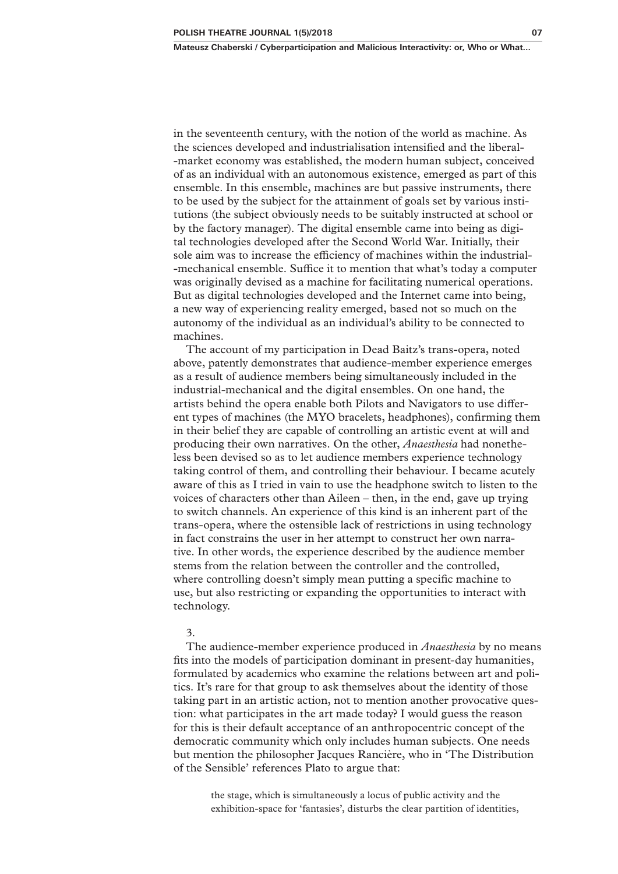in the seventeenth century, with the notion of the world as machine. As the sciences developed and industrialisation intensified and the liberal-‑market economy was established, the modern human subject, conceived of as an individual with an autonomous existence, emerged as part of this ensemble. In this ensemble, machines are but passive instruments, there to be used by the subject for the attainment of goals set by various institutions (the subject obviously needs to be suitably instructed at school or by the factory manager). The digital ensemble came into being as digital technologies developed after the Second World War. Initially, their sole aim was to increase the efficiency of machines within the industrial-‑mechanical ensemble. Suffice it to mention that what's today a computer was originally devised as a machine for facilitating numerical operations. But as digital technologies developed and the Internet came into being, a new way of experiencing reality emerged, based not so much on the autonomy of the individual as an individual's ability to be connected to machines.

The account of my participation in Dead Baitz's trans‑opera, noted above, patently demonstrates that audience‑member experience emerges as a result of audience members being simultaneously included in the industrial-mechanical and the digital ensembles. On one hand, the artists behind the opera enable both Pilots and Navigators to use different types of machines (the MYO bracelets, headphones), confirming them in their belief they are capable of controlling an artistic event at will and producing their own narratives. On the other, *Anaesthesia* had nonetheless been devised so as to let audience members experience technology taking control of them, and controlling their behaviour. I became acutely aware of this as I tried in vain to use the headphone switch to listen to the voices of characters other than Aileen – then, in the end, gave up trying to switch channels. An experience of this kind is an inherent part of the trans‑opera, where the ostensible lack of restrictions in using technology in fact constrains the user in her attempt to construct her own narrative. In other words, the experience described by the audience member stems from the relation between the controller and the controlled, where controlling doesn't simply mean putting a specific machine to use, but also restricting or expanding the opportunities to interact with technology.

## 3.

The audience‑member experience produced in *Anaesthesia* by no means fits into the models of participation dominant in present-day humanities, formulated by academics who examine the relations between art and politics. It's rare for that group to ask themselves about the identity of those taking part in an artistic action, not to mention another provocative ques‑ tion: what participates in the art made today? I would guess the reason for this is their default acceptance of an anthropocentric concept of the democratic community which only includes human subjects. One needs but mention the philosopher Jacques Rancière, who in 'The Distribution of the Sensible' references Plato to argue that:

the stage, which is simultaneously a locus of public activity and the exhibition-space for 'fantasies', disturbs the clear partition of identities,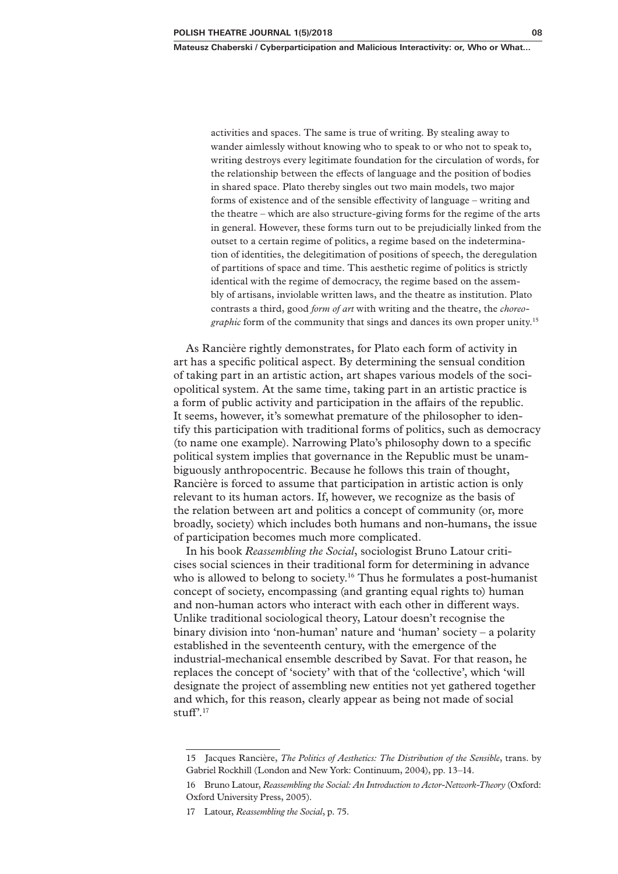activities and spaces. The same is true of writing. By stealing away to wander aimlessly without knowing who to speak to or who not to speak to, writing destroys every legitimate foundation for the circulation of words, for the relationship between the effects of language and the position of bodies in shared space. Plato thereby singles out two main models, two major forms of existence and of the sensible effectivity of language – writing and the theatre – which are also structure‑giving forms for the regime of the arts in general. However, these forms turn out to be prejudicially linked from the outset to a certain regime of politics, a regime based on the indetermination of identities, the delegitimation of positions of speech, the deregulation of partitions of space and time. This aesthetic regime of politics is strictly identical with the regime of democracy, the regime based on the assembly of artisans, inviolable written laws, and the theatre as institution. Plato contrasts a third, good *form of art* with writing and the theatre, the *choreo‑ graphic* form of the community that sings and dances its own proper unity.<sup>15</sup>

As Rancière rightly demonstrates, for Plato each form of activity in art has a specific political aspect. By determining the sensual condition of taking part in an artistic action, art shapes various models of the sociopolitical system. At the same time, taking part in an artistic practice is a form of public activity and participation in the affairs of the republic. It seems, however, it's somewhat premature of the philosopher to identify this participation with traditional forms of politics, such as democracy (to name one example). Narrowing Plato's philosophy down to a specific political system implies that governance in the Republic must be unambiguously anthropocentric. Because he follows this train of thought, Rancière is forced to assume that participation in artistic action is only relevant to its human actors. If, however, we recognize as the basis of the relation between art and politics a concept of community (or, more broadly, society) which includes both humans and non‑humans, the issue of participation becomes much more complicated.

In his book *Reassembling the Social*, sociologist Bruno Latour criticises social sciences in their traditional form for determining in advance who is allowed to belong to society.<sup>16</sup> Thus he formulates a post-humanist concept of society, encompassing (and granting equal rights to) human and non-human actors who interact with each other in different ways. Unlike traditional sociological theory, Latour doesn't recognise the binary division into 'non-human' nature and 'human' society – a polarity established in the seventeenth century, with the emergence of the industrial-mechanical ensemble described by Savat. For that reason, he replaces the concept of 'society' with that of the 'collective', which 'will designate the project of assembling new entities not yet gathered together and which, for this reason, clearly appear as being not made of social stuff $^{9.17}$ 

<sup>15</sup> Jacques Rancière, *The Politics of Aesthetics: The Distribution of the Sensible*, trans. by Gabriel Rockhill (London and New York: Continuum, 2004), pp. 13–14.

<sup>16</sup> Bruno Latour, *Reassembling the Social: An Introduction to Actor-Network-Theory* (Oxford: Oxford University Press, 2005).

<sup>17</sup> Latour, *Reassembling the Social*, p. 75.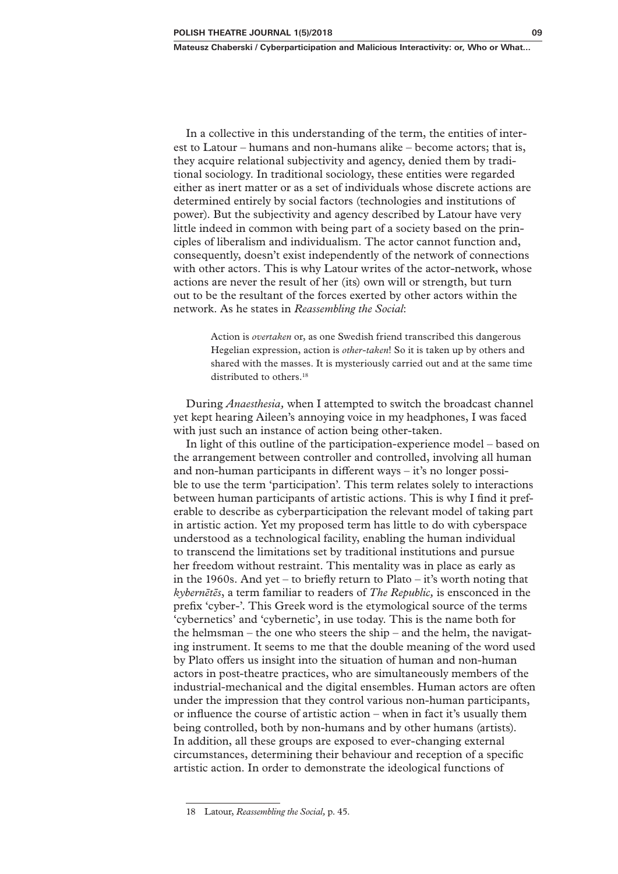In a collective in this understanding of the term, the entities of interest to Latour – humans and non-humans alike – become actors; that is, they acquire relational subjectivity and agency, denied them by traditional sociology. In traditional sociology, these entities were regarded either as inert matter or as a set of individuals whose discrete actions are determined entirely by social factors (technologies and institutions of power). But the subjectivity and agency described by Latour have very little indeed in common with being part of a society based on the principles of liberalism and individualism. The actor cannot function and, consequently, doesn't exist independently of the network of connections with other actors. This is why Latour writes of the actor-network, whose actions are never the result of her (its) own will or strength, but turn out to be the resultant of the forces exerted by other actors within the network. As he states in *Reassembling the Social*:

> Action is *overtaken* or, as one Swedish friend transcribed this dangerous Hegelian expression, action is *other-taken*! So it is taken up by others and shared with the masses. It is mysteriously carried out and at the same time distributed to others.<sup>18</sup>

During *Anaesthesia,* when I attempted to switch the broadcast channel yet kept hearing Aileen's annoying voice in my headphones, I was faced with just such an instance of action being other-taken.

In light of this outline of the participation–experience model – based on the arrangement between controller and controlled, involving all human and non-human participants in different ways  $-$  it's no longer possible to use the term 'participation'. This term relates solely to interactions between human participants of artistic actions. This is why I find it preferable to describe as cyberparticipation the relevant model of taking part in artistic action. Yet my proposed term has little to do with cyberspace understood as a technological facility, enabling the human individual to transcend the limitations set by traditional institutions and pursue her freedom without restraint. This mentality was in place as early as in the 1960s. And yet – to briefly return to Plato – it's worth noting that *kybernētēs*, a term familiar to readers of *The Republic,* is ensconced in the prefix 'cyber-'. This Greek word is the etymological source of the terms 'cybernetics' and 'cybernetic', in use today. This is the name both for the helmsman – the one who steers the ship – and the helm, the navigating instrument. It seems to me that the double meaning of the word used by Plato offers us insight into the situation of human and non‑human actors in post-theatre practices, who are simultaneously members of the industrial–mechanical and the digital ensembles. Human actors are often under the impression that they control various non‑human participants, or influence the course of artistic action – when in fact it's usually them being controlled, both by non-humans and by other humans (artists). In addition, all these groups are exposed to ever-changing external circumstances, determining their behaviour and reception of a specific artistic action. In order to demonstrate the ideological functions of

<sup>18</sup> Latour, *Reassembling the Social,* p. 45.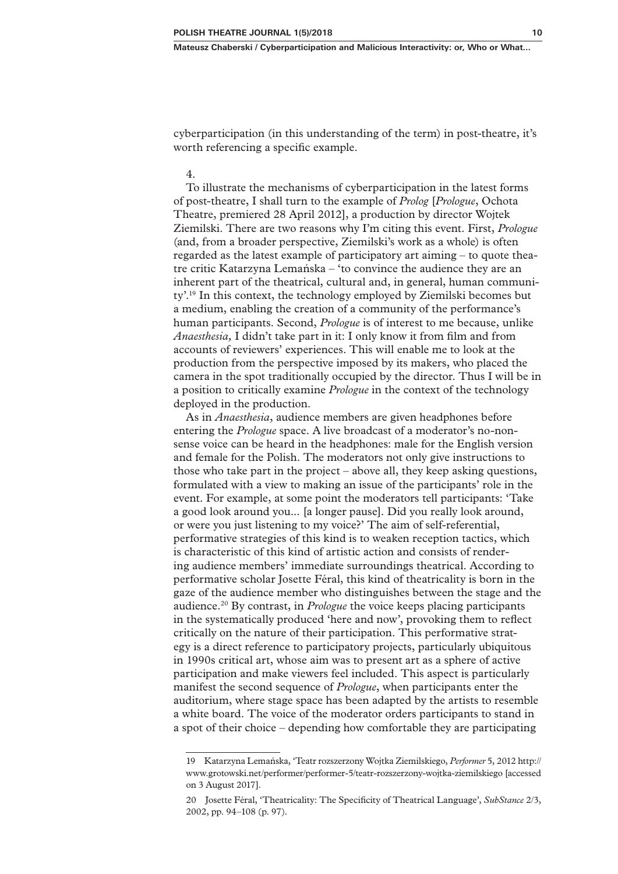cyberparticipation (in this understanding of the term) in post-theatre, it's worth referencing a specific example.

### 4.

To illustrate the mechanisms of cyberparticipation in the latest forms of post‑theatre, I shall turn to the example of *Prolog* [*Prologue*, Ochota Theatre, premiered 28 April 2012], a production by director Wojtek Ziemilski. There are two reasons why I'm citing this event. First, *Prologue*  (and, from a broader perspective, Ziemilski's work as a whole) is often regarded as the latest example of participatory art aiming – to quote theatre critic Katarzyna Lemańska – 'to convince the audience they are an inherent part of the theatrical, cultural and, in general, human community'.19 In this context, the technology employed by Ziemilski becomes but a medium, enabling the creation of a community of the performance's human participants. Second, *Prologue* is of interest to me because, unlike *Anaesthesia,* I didn't take part in it: I only know it from film and from accounts of reviewers' experiences. This will enable me to look at the production from the perspective imposed by its makers, who placed the camera in the spot traditionally occupied by the director. Thus I will be in a position to critically examine *Prologue* in the context of the technology deployed in the production.

As in *Anaesthesia*, audience members are given headphones before entering the *Prologue* space. A live broadcast of a moderator's no-nonsense voice can be heard in the headphones: male for the English version and female for the Polish. The moderators not only give instructions to those who take part in the project – above all, they keep asking questions, formulated with a view to making an issue of the participants' role in the event. For example, at some point the moderators tell participants: 'Take a good look around you... [a longer pause]. Did you really look around, or were you just listening to my voice?' The aim of self-referential, performative strategies of this kind is to weaken reception tactics, which is characteristic of this kind of artistic action and consists of rendering audience members' immediate surroundings theatrical. According to performative scholar Josette Féral, this kind of theatricality is born in the gaze of the audience member who distinguishes between the stage and the audience.20 By contrast, in *Prologue* the voice keeps placing participants in the systematically produced 'here and now', provoking them to reflect critically on the nature of their participation. This performative strategy is a direct reference to participatory projects, particularly ubiquitous in 1990s critical art, whose aim was to present art as a sphere of active participation and make viewers feel included. This aspect is particularly manifest the second sequence of *Prologue*, when participants enter the auditorium, where stage space has been adapted by the artists to resemble a white board. The voice of the moderator orders participants to stand in a spot of their choice – depending how comfortable they are participating

<sup>19</sup> Katarzyna Lemańska, 'Teatr rozszerzony Wojtka Ziemilskiego, *Performer* 5, 2012 http:// www.grotowski.net/performer/performer‑5/teatr‑rozszerzony‑wojtka‑ziemilskiego [accessed on 3 August 2017].

<sup>20</sup> Josette Féral, 'Theatricality: The Specificity of Theatrical Language', *SubStance* 2/3, 2002, pp. 94–108 (p. 97).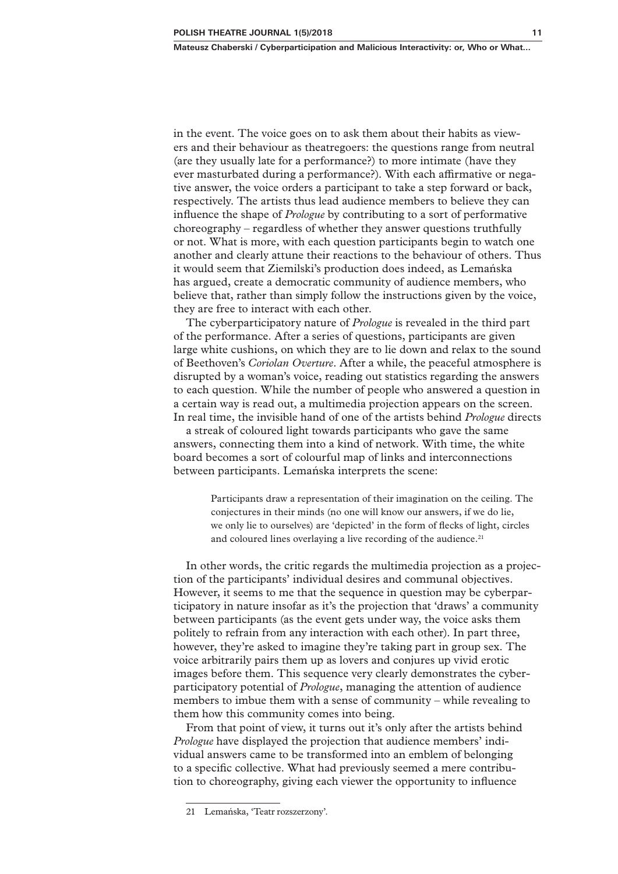in the event. The voice goes on to ask them about their habits as view– ers and their behaviour as theatregoers: the questions range from neutral (are they usually late for a performance?) to more intimate (have they ever masturbated during a performance?). With each affirmative or negative answer, the voice orders a participant to take a step forward or back, respectively. The artists thus lead audience members to believe they can influence the shape of *Prologue* by contributing to a sort of performative choreography – regardless of whether they answer questions truthfully or not. What is more, with each question participants begin to watch one another and clearly attune their reactions to the behaviour of others. Thus it would seem that Ziemilski's production does indeed, as Lemańska has argued, create a democratic community of audience members, who believe that, rather than simply follow the instructions given by the voice, they are free to interact with each other.

The cyberparticipatory nature of *Prologue* is revealed in the third part of the performance. After a series of questions, participants are given large white cushions, on which they are to lie down and relax to the sound of Beethoven's *Coriolan Overture*. After a while, the peaceful atmosphere is disrupted by a woman's voice, reading out statistics regarding the answers to each question. While the number of people who answered a question in a certain way is read out, a multimedia projection appears on the screen. In real time, the invisible hand of one of the artists behind *Prologue* directs

a streak of coloured light towards participants who gave the same answers, connecting them into a kind of network. With time, the white board becomes a sort of colourful map of links and interconnections between participants. Lemańska interprets the scene:

> Participants draw a representation of their imagination on the ceiling. The conjectures in their minds (no one will know our answers, if we do lie, we only lie to ourselves) are 'depicted' in the form of flecks of light, circles and coloured lines overlaying a live recording of the audience.<sup>21</sup>

In other words, the critic regards the multimedia projection as a projection of the participants' individual desires and communal objectives. However, it seems to me that the sequence in question may be cyberpar‑ ticipatory in nature insofar as it's the projection that 'draws' a community between participants (as the event gets under way, the voice asks them politely to refrain from any interaction with each other). In part three, however, they're asked to imagine they're taking part in group sex. The voice arbitrarily pairs them up as lovers and conjures up vivid erotic images before them. This sequence very clearly demonstrates the cyberparticipatory potential of *Prologue*, managing the attention of audience members to imbue them with a sense of community – while revealing to them how this community comes into being.

From that point of view, it turns out it's only after the artists behind *Prologue* have displayed the projection that audience members' individual answers came to be transformed into an emblem of belonging to a specific collective. What had previously seemed a mere contribution to choreography, giving each viewer the opportunity to influence

<sup>21</sup> Lemańska, 'Teatr rozszerzony'.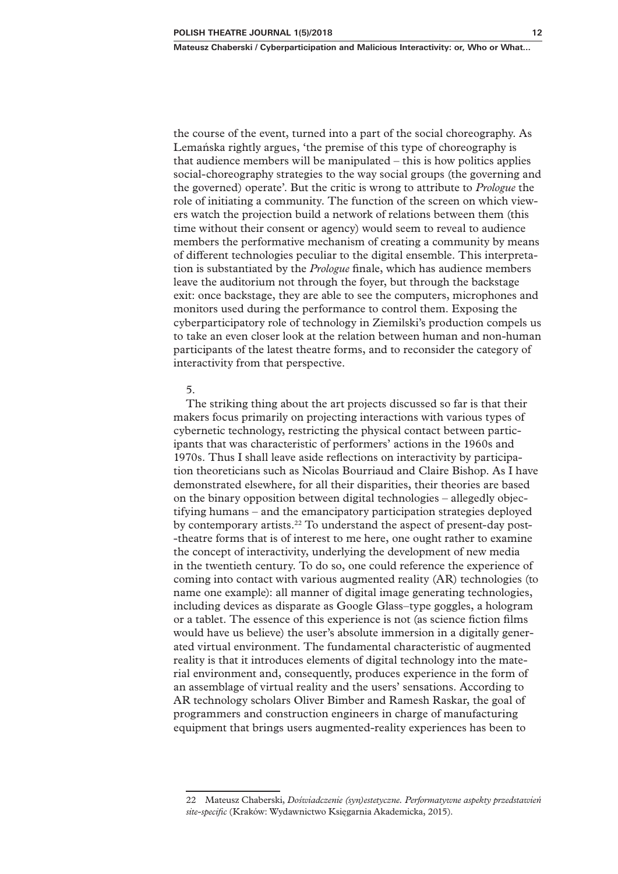the course of the event, turned into a part of the social choreography. As Lemańska rightly argues, 'the premise of this type of choreography is that audience members will be manipulated – this is how politics applies social–choreography strategies to the way social groups (the governing and the governed) operate'. But the critic is wrong to attribute to *Prologue* the role of initiating a community. The function of the screen on which viewers watch the projection build a network of relations between them (this time without their consent or agency) would seem to reveal to audience members the performative mechanism of creating a community by means of different technologies peculiar to the digital ensemble. This interpretation is substantiated by the *Prologue* finale, which has audience members leave the auditorium not through the foyer, but through the backstage exit: once backstage, they are able to see the computers, microphones and monitors used during the performance to control them. Exposing the cyberparticipatory role of technology in Ziemilski's production compels us to take an even closer look at the relation between human and non-human participants of the latest theatre forms, and to reconsider the category of interactivity from that perspective.

#### 5.

The striking thing about the art projects discussed so far is that their makers focus primarily on projecting interactions with various types of cybernetic technology, restricting the physical contact between partic‑ ipants that was characteristic of performers' actions in the 1960s and 1970s. Thus I shall leave aside reflections on interactivity by participation theoreticians such as Nicolas Bourriaud and Claire Bishop. As I have demonstrated elsewhere, for all their disparities, their theories are based on the binary opposition between digital technologies – allegedly objectifying humans – and the emancipatory participation strategies deployed by contemporary artists.<sup>22</sup> To understand the aspect of present-day post-‑theatre forms that is of interest to me here, one ought rather to examine the concept of interactivity, underlying the development of new media in the twentieth century. To do so, one could reference the experience of coming into contact with various augmented reality (AR) technologies (to name one example): all manner of digital image generating technologies, including devices as disparate as Google Glass–type goggles, a hologram or a tablet. The essence of this experience is not (as science fiction films would have us believe) the user's absolute immersion in a digitally generated virtual environment. The fundamental characteristic of augmented reality is that it introduces elements of digital technology into the material environment and, consequently, produces experience in the form of an assemblage of virtual reality and the users' sensations. According to AR technology scholars Oliver Bimber and Ramesh Raskar, the goal of programmers and construction engineers in charge of manufacturing equipment that brings users augmented–reality experiences has been to

<sup>22</sup> Mateusz Chaberski, *Doświadczenie (syn)estetyczne. Performatywne aspekty przedstawień site‑specific* (Kraków: Wydawnictwo Księgarnia Akademicka, 2015).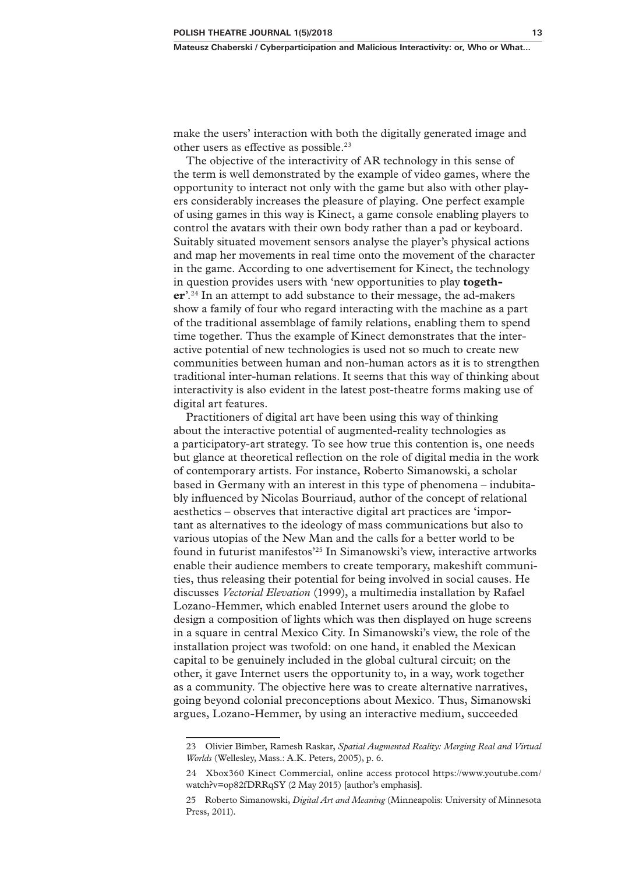make the users' interaction with both the digitally generated image and other users as effective as possible.<sup>23</sup>

The objective of the interactivity of AR technology in this sense of the term is well demonstrated by the example of video games, where the opportunity to interact not only with the game but also with other players considerably increases the pleasure of playing. One perfect example of using games in this way is Kinect, a game console enabling players to control the avatars with their own body rather than a pad or keyboard. Suitably situated movement sensors analyse the player's physical actions and map her movements in real time onto the movement of the character in the game. According to one advertisement for Kinect, the technology in question provides users with 'new opportunities to play **together**'.<sup>24</sup> In an attempt to add substance to their message, the ad-makers show a family of four who regard interacting with the machine as a part of the traditional assemblage of family relations, enabling them to spend time together. Thus the example of Kinect demonstrates that the interactive potential of new technologies is used not so much to create new communities between human and non‑human actors as it is to strengthen traditional inter‑human relations. It seems that this way of thinking about interactivity is also evident in the latest post-theatre forms making use of digital art features.

Practitioners of digital art have been using this way of thinking about the interactive potential of augmented‑reality technologies as a participatory‑art strategy. To see how true this contention is, one needs but glance at theoretical reflection on the role of digital media in the work of contemporary artists. For instance, Roberto Simanowski, a scholar based in Germany with an interest in this type of phenomena – indubitably influenced by Nicolas Bourriaud, author of the concept of relational aesthetics – observes that interactive digital art practices are 'important as alternatives to the ideology of mass communications but also to various utopias of the New Man and the calls for a better world to be found in futurist manifestos'25 In Simanowski's view, interactive artworks enable their audience members to create temporary, makeshift communities, thus releasing their potential for being involved in social causes. He discusses *Vectorial Elevation* (1999), a multimedia installation by Rafael Lozano‑Hemmer, which enabled Internet users around the globe to design a composition of lights which was then displayed on huge screens in a square in central Mexico City. In Simanowski's view, the role of the installation project was twofold: on one hand, it enabled the Mexican capital to be genuinely included in the global cultural circuit; on the other, it gave Internet users the opportunity to, in a way, work together as a community. The objective here was to create alternative narratives, going beyond colonial preconceptions about Mexico. Thus, Simanowski argues, Lozano‑Hemmer, by using an interactive medium, succeeded

<sup>23</sup> Olivier Bimber, Ramesh Raskar, *Spatial Augmented Reality: Merging Real and Virtual Worlds* (Wellesley, Mass.: A.K. Peters, 2005), p. 6.

<sup>24</sup> Xbox360 Kinect Commercial, online access protocol https://www.youtube.com/ watch?v=op82fDRRqSY (2 May 2015) [author's emphasis].

<sup>25</sup> Roberto Simanowski, *Digital Art and Meaning* (Minneapolis: University of Minnesota Press, 2011)*.*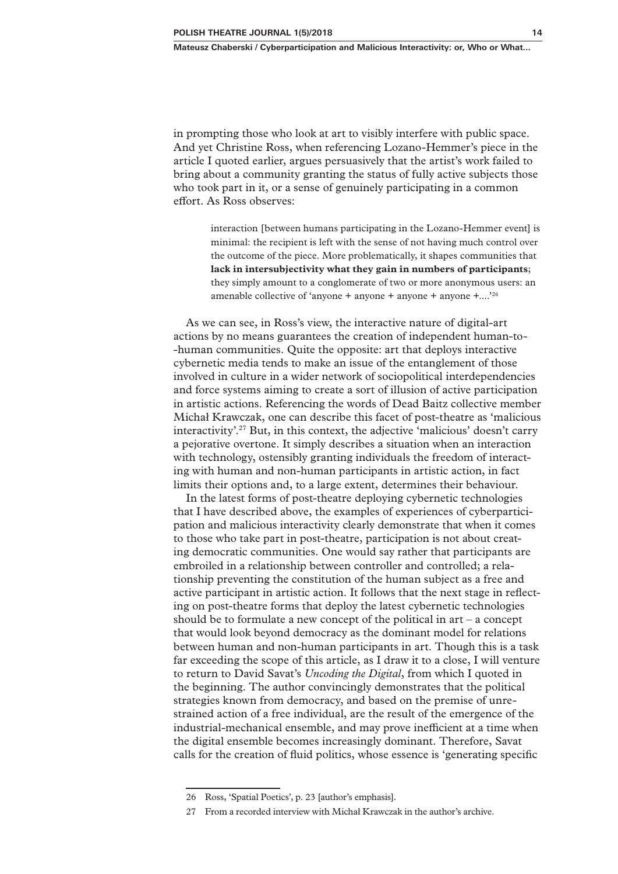in prompting those who look at art to visibly interfere with public space. And yet Christine Ross, when referencing Lozano‑Hemmer's piece in the article I quoted earlier, argues persuasively that the artist's work failed to bring about a community granting the status of fully active subjects those who took part in it, or a sense of genuinely participating in a common effort. As Ross observes:

> interaction [between humans participating in the Lozano–Hemmer event] is minimal: the recipient is left with the sense of not having much control over the outcome of the piece. More problematically, it shapes communities that **lack in intersubjectivity what they gain in numbers of participants**; they simply amount to a conglomerate of two or more anonymous users: an amenable collective of 'anyone + anyone + anyone + anyone +....'26

As we can see, in Ross's view, the interactive nature of digital-art actions by no means guarantees the creation of independent human-to-‑human communities. Quite the opposite: art that deploys interactive cybernetic media tends to make an issue of the entanglement of those involved in culture in a wider network of sociopolitical interdependencies and force systems aiming to create a sort of illusion of active participation in artistic actions. Referencing the words of Dead Baitz collective member Michał Krawczak, one can describe this facet of post‑theatre as 'malicious interactivity'.27 But, in this context, the adjective 'malicious' doesn't carry a pejorative overtone. It simply describes a situation when an interaction with technology, ostensibly granting individuals the freedom of interacting with human and non‑human participants in artistic action, in fact limits their options and, to a large extent, determines their behaviour.

In the latest forms of post-theatre deploying cybernetic technologies that I have described above, the examples of experiences of cyberparticipation and malicious interactivity clearly demonstrate that when it comes to those who take part in post-theatre, participation is not about creating democratic communities. One would say rather that participants are embroiled in a relationship between controller and controlled; a relationship preventing the constitution of the human subject as a free and active participant in artistic action. It follows that the next stage in reflecting on post-theatre forms that deploy the latest cybernetic technologies should be to formulate a new concept of the political in art – a concept that would look beyond democracy as the dominant model for relations between human and non‑human participants in art. Though this is a task far exceeding the scope of this article, as I draw it to a close, I will venture to return to David Savat's *Uncoding the Digital*, from which I quoted in the beginning. The author convincingly demonstrates that the political strategies known from democracy, and based on the premise of unre‑ strained action of a free individual, are the result of the emergence of the industrial‑mechanical ensemble, and may prove inefficient at a time when the digital ensemble becomes increasingly dominant. Therefore, Savat calls for the creation of fluid politics, whose essence is 'generating specific

<sup>26</sup> Ross, 'Spatial Poetics', p. 23 [author's emphasis].

<sup>27</sup> From a recorded interview with Michał Krawczak in the author's archive.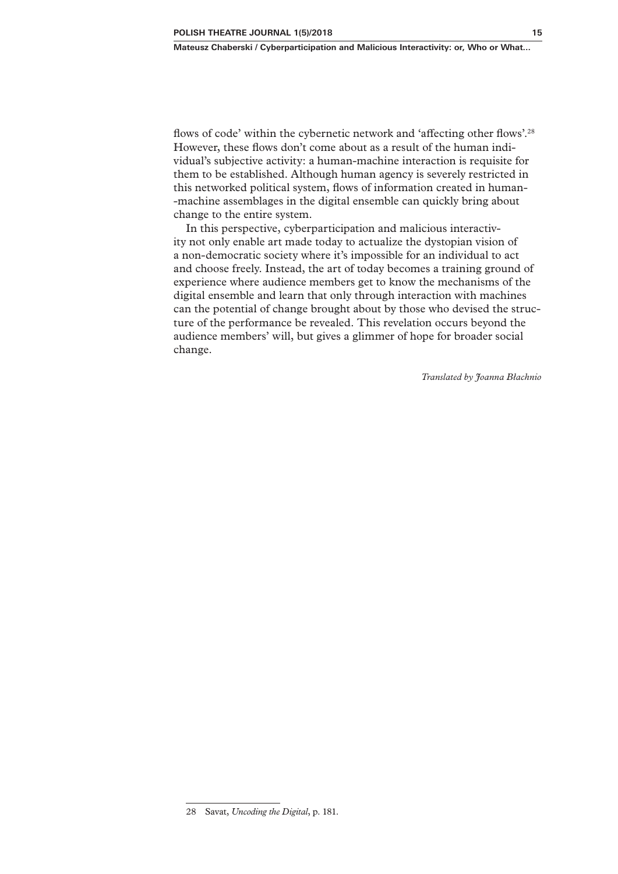flows of code' within the cybernetic network and 'affecting other flows'.<sup>28</sup> However, these flows don't come about as a result of the human individual's subjective activity: a human‑machine interaction is requisite for them to be established. Although human agency is severely restricted in this networked political system, flows of information created in human-‑machine assemblages in the digital ensemble can quickly bring about change to the entire system.

In this perspective, cyberparticipation and malicious interactivity not only enable art made today to actualize the dystopian vision of a non‑democratic society where it's impossible for an individual to act and choose freely. Instead, the art of today becomes a training ground of experience where audience members get to know the mechanisms of the digital ensemble and learn that only through interaction with machines can the potential of change brought about by those who devised the structure of the performance be revealed. This revelation occurs beyond the audience members' will, but gives a glimmer of hope for broader social change.

*Translated by Joanna Błachnio*

<sup>28</sup> Savat, *Uncoding the Digital*, p. 181.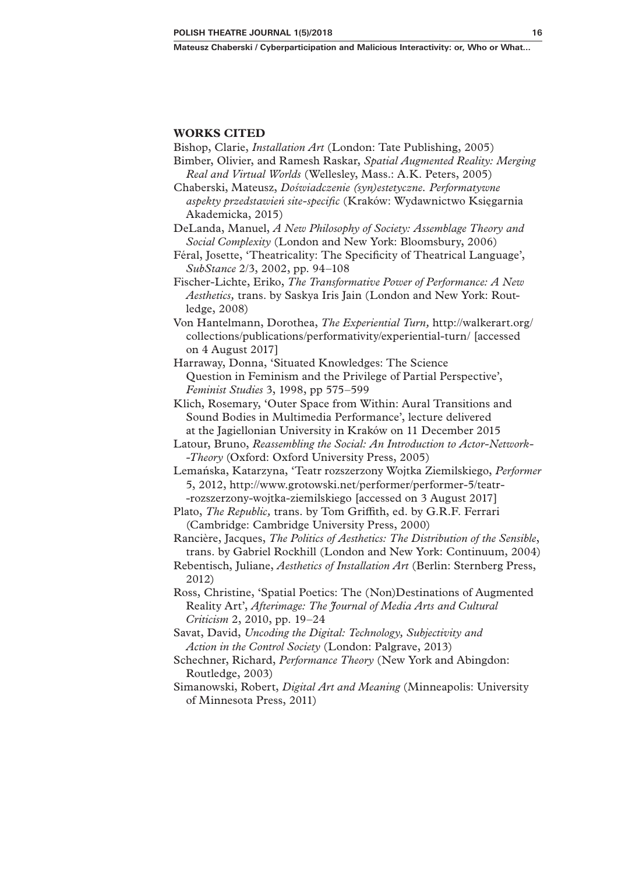#### **WORKS CITED**

Bishop, Clarie, *Installation Art* (London: Tate Publishing, 2005)

- Bimber, Olivier, and Ramesh Raskar, *Spatial Augmented Reality: Merging Real and Virtual Worlds* (Wellesley, Mass.: A.K. Peters, 2005)
- Chaberski, Mateusz, *Doświadczenie (syn)estetyczne. Performatywne aspekty przedstawień site‑specific* (Kraków: Wydawnictwo Księgarnia Akademicka, 2015)
- DeLanda, Manuel, *A New Philosophy of Society: Assemblage Theory and Social Complexity* (London and New York: Bloomsbury, 2006)
- Féral, Josette, 'Theatricality: The Specificity of Theatrical Language', *SubStance* 2/3, 2002, pp. 94–108
- Fischer‑Lichte, Eriko, *The Transformative Power of Performance: A New Aesthetics,* trans. by Saskya Iris Jain (London and New York: Rout‑ ledge, 2008)
- Von Hantelmann, Dorothea, *The Experiential Turn,* http://walkerart.org/ collections/publications/performativity/experiential-turn/ [accessed on 4 August 2017]
- Harraway, Donna, 'Situated Knowledges: The Science Question in Feminism and the Privilege of Partial Perspective', *Feminist Studies* 3, 1998, pp 575–599
- Klich, Rosemary, 'Outer Space from Within: Aural Transitions and Sound Bodies in Multimedia Performance', lecture delivered at the Jagiellonian University in Kraków on 11 December 2015
- Latour, Bruno, *Reassembling the Social: An Introduction to Actor-Network-‑Theory* (Oxford: Oxford University Press, 2005)
- Lemańska, Katarzyna, 'Teatr rozszerzony Wojtka Ziemilskiego, *Performer*  5, 2012, http://www.grotowski.net/performer/performer-5/teatr-‑rozszerzony‑wojtka‑ziemilskiego [accessed on 3 August 2017]
- Plato, *The Republic,* trans. by Tom Griffith, ed. by G.R.F. Ferrari (Cambridge: Cambridge University Press, 2000)
- Rancière, Jacques, *The Politics of Aesthetics: The Distribution of the Sensible*, trans. by Gabriel Rockhill (London and New York: Continuum, 2004)
- Rebentisch, Juliane, *Aesthetics of Installation Art* (Berlin: Sternberg Press, 2012)
- Ross, Christine, 'Spatial Poetics: The (Non)Destinations of Augmented Reality Art', *Afterimage: The Journal of Media Arts and Cultural Criticism* 2, 2010, pp. 19–24
- Savat, David, *Uncoding the Digital: Technology, Subjectivity and Action in the Control Society* (London: Palgrave, 2013)
- Schechner, Richard, *Performance Theory* (New York and Abingdon: Routledge, 2003)
- Simanowski, Robert, *Digital Art and Meaning* (Minneapolis: University of Minnesota Press, 2011)